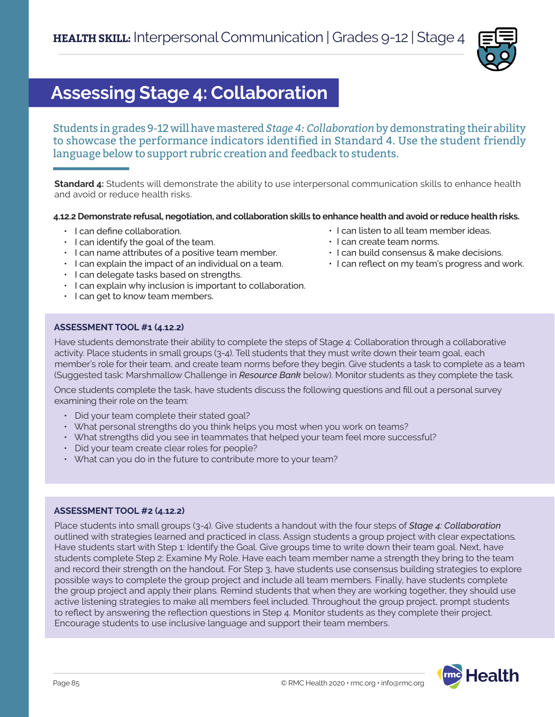

# **Assessing Stage 4: Collaboration**

Students in grades 9-12 will have mastered *Stage 4: Collaboration* by demonstrating their ability to showcase the performance indicators identified in Standard 4. Use the student friendly language below to support rubric creation and feedback to students.

**Standard 4:** Students will demonstrate the ability to use interpersonal communication skills to enhance health and avoid or reduce health risks.

# **4.12.2 Demonstrate refusal, negotiation, and collaboration skills to enhance health and avoid or reduce health risks.**

- I can define collaboration.
- I can identify the goal of the team.
- I can name attributes of a positive team member.
- I can explain the impact of an individual on a team.
- I can delegate tasks based on strengths.
- I can explain why inclusion is important to collaboration.
- I can get to know team members.
- I can listen to all team member ideas.
- I can create team norms.
- I can build consensus & make decisions.
- I can reflect on my team's progress and work.

# **ASSESSMENT TOOL #1 (4.12.2)**

Have students demonstrate their ability to complete the steps of Stage 4: Collaboration through a collaborative activity. Place students in small groups (3-4). Tell students that they must write down their team goal, each member's role for their team, and create team norms before they begin. Give students a task to complete as a team (Suggested task: Marshmallow Challenge in *Resource Bank* below). Monitor students as they complete the task.

Once students complete the task, have students discuss the following questions and fill out a personal survey examining their role on the team:

- Did your team complete their stated goal?
- What personal strengths do you think helps you most when you work on teams?
- What strengths did you see in teammates that helped your team feel more successful?
- Did your team create clear roles for people?
- What can you do in the future to contribute more to your team?

## **ASSESSMENT TOOL #2 (4.12.2)**

Place students into small groups (3-4). Give students a handout with the four steps of *Stage 4: Collaboration* outlined with strategies learned and practiced in class. Assign students a group project with clear expectations*.* Have students start with Step 1: Identify the Goal. Give groups time to write down their team goal. Next, have students complete Step 2: Examine My Role. Have each team member name a strength they bring to the team and record their strength on the handout. For Step 3, have students use consensus building strategies to explore possible ways to complete the group project and include all team members. Finally, have students complete the group project and apply their plans. Remind students that when they are working together, they should use active listening strategies to make all members feel included. Throughout the group project, prompt students to reflect by answering the reflection questions in Step 4. Monitor students as they complete their project. Encourage students to use inclusive language and support their team members.

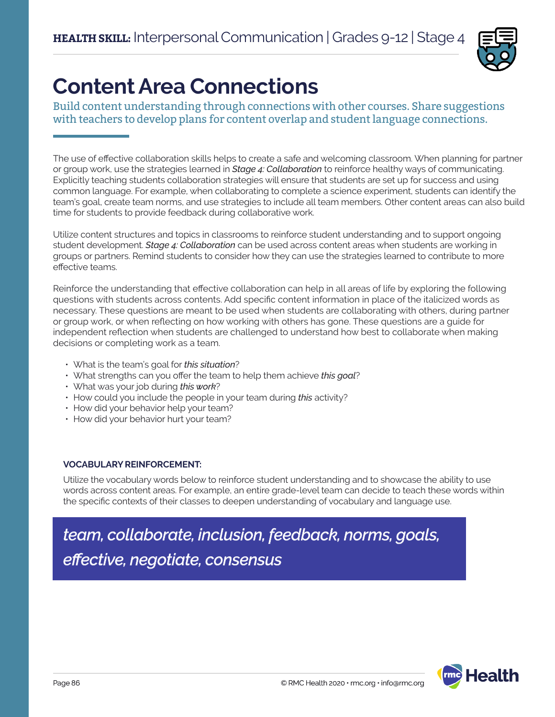

# **Content Area Connections**

Build content understanding through connections with other courses. Share suggestions with teachers to develop plans for content overlap and student language connections.

The use of effective collaboration skills helps to create a safe and welcoming classroom. When planning for partner or group work, use the strategies learned in *Stage 4: Collaboration* to reinforce healthy ways of communicating. Explicitly teaching students collaboration strategies will ensure that students are set up for success and using common language. For example, when collaborating to complete a science experiment, students can identify the team's goal, create team norms, and use strategies to include all team members. Other content areas can also build time for students to provide feedback during collaborative work.

Utilize content structures and topics in classrooms to reinforce student understanding and to support ongoing student development. *Stage 4: Collaboration* can be used across content areas when students are working in groups or partners. Remind students to consider how they can use the strategies learned to contribute to more effective teams.

Reinforce the understanding that effective collaboration can help in all areas of life by exploring the following questions with students across contents. Add specific content information in place of the italicized words as necessary. These questions are meant to be used when students are collaborating with others, during partner or group work, or when reflecting on how working with others has gone. These questions are a guide for independent reflection when students are challenged to understand how best to collaborate when making decisions or completing work as a team.

- What is the team's goal for *this situation*?
- What strengths can you offer the team to help them achieve *this goal*?
- What was your job during *this work*?
- How could you include the people in your team during *this* activity?
- How did your behavior help your team?
- How did your behavior hurt your team?

# **VOCABULARY REINFORCEMENT:**

Utilize the vocabulary words below to reinforce student understanding and to showcase the ability to use words across content areas. For example, an entire grade-level team can decide to teach these words within the specific contexts of their classes to deepen understanding of vocabulary and language use.

*team, collaborate, inclusion, feedback, norms, goals, effective, negotiate, consensus*